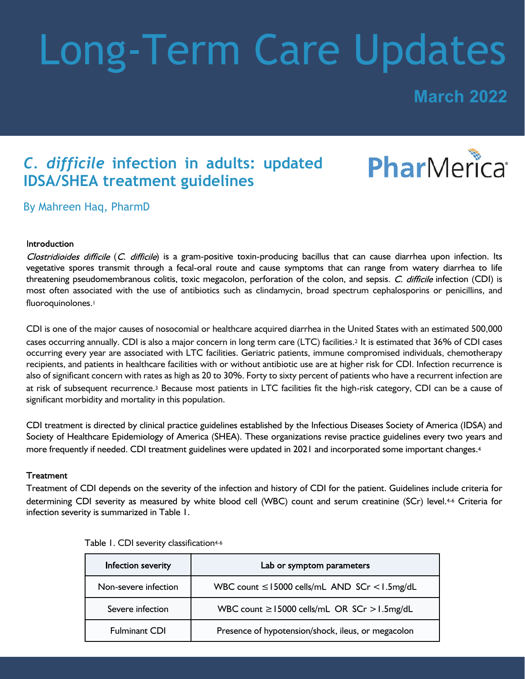# Long-Term Care Updates

**March 2022**

### *C. difficile* **infection in adults: updated IDSA/SHEA treatment guidelines**



By Mahreen Haq, PharmD

#### Introduction

Clostridioides difficile (C. difficile) is a gram-positive toxin-producing bacillus that can cause diarrhea upon infection. Its vegetative spores transmit through a fecal-oral route and cause symptoms that can range from watery diarrhea to life threatening pseudomembranous colitis, toxic megacolon, perforation of the colon, and sepsis. C. difficile infection (CDI) is most often associated with the use of antibiotics such as clindamycin, broad spectrum cephalosporins or penicillins, and fluoroquinolones.<sup>1</sup>

CDI is one of the major causes of nosocomial or healthcare acquired diarrhea in the United States with an estimated 500,000 cases occurring annually. CDI is also a major concern in long term care (LTC) facilities.<sup>2</sup> It is estimated that 36% of CDI cases occurring every year are associated with LTC facilities. Geriatric patients, immune compromised individuals, chemotherapy recipients, and patients in healthcare facilities with or without antibiotic use are at higher risk for CDI. Infection recurrence is also of significant concern with rates as high as 20 to 30%. Forty to sixty percent of patients who have a recurrent infection are at risk of subsequent recurrence.3 Because most patients in LTC facilities fit the high-risk category, CDI can be a cause of significant morbidity and mortality in this population.

CDI treatment is directed by clinical practice guidelines established by the Infectious Diseases Society of America (IDSA) and Society of Healthcare Epidemiology of America (SHEA). These organizations revise practice guidelines every two years and more frequently if needed. CDI treatment guidelines were updated in 2021 and incorporated some important changes.<sup>4</sup>

#### **Treatment**

Treatment of CDI depends on the severity of the infection and history of CDI for the patient. Guidelines include criteria for determining CDI severity as measured by white blood cell (WBC) count and serum creatinine (SCr) level.4-6 Criteria for infection severity is summarized in Table 1.

| Infection severity   | Lab or symptom parameters                          |
|----------------------|----------------------------------------------------|
| Non-severe infection | WBC count $\leq$ 15000 cells/mL AND SCr < 1.5mg/dL |
| Severe infection     | WBC count $\ge$ 15000 cells/mL OR SCr $>$ 1.5mg/dL |
| <b>Fulminant CDI</b> | Presence of hypotension/shock, ileus, or megacolon |

|  |  |  | Table 1. CDI severity classification <sup>4-6</sup> |
|--|--|--|-----------------------------------------------------|
|--|--|--|-----------------------------------------------------|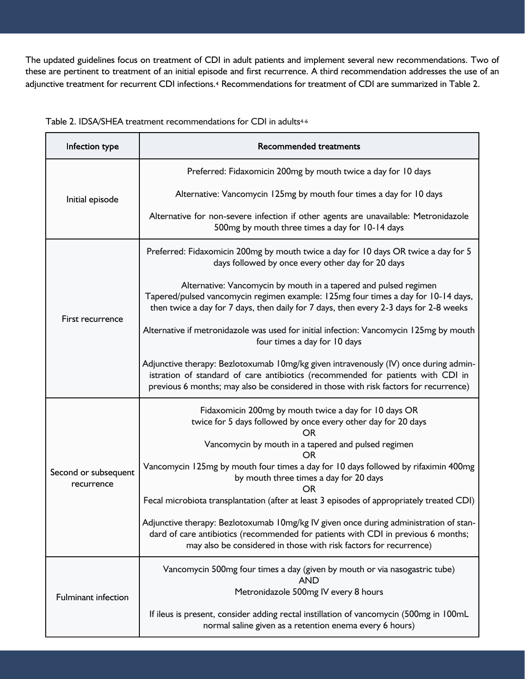The updated guidelines focus on treatment of CDI in adult patients and implement several new recommendations. Two of these are pertinent to treatment of an initial episode and first recurrence. A third recommendation addresses the use of an adjunctive treatment for recurrent CDI infections.<sup>4</sup> Recommendations for treatment of CDI are summarized in Table 2.

| Infection type                     | <b>Recommended treatments</b>                                                                                                                                                                                                                                   |  |
|------------------------------------|-----------------------------------------------------------------------------------------------------------------------------------------------------------------------------------------------------------------------------------------------------------------|--|
| Initial episode                    | Preferred: Fidaxomicin 200mg by mouth twice a day for 10 days                                                                                                                                                                                                   |  |
|                                    | Alternative: Vancomycin 125mg by mouth four times a day for 10 days                                                                                                                                                                                             |  |
|                                    | Alternative for non-severe infection if other agents are unavailable: Metronidazole<br>500mg by mouth three times a day for 10-14 days                                                                                                                          |  |
| First recurrence                   | Preferred: Fidaxomicin 200mg by mouth twice a day for 10 days OR twice a day for 5<br>days followed by once every other day for 20 days                                                                                                                         |  |
|                                    | Alternative: Vancomycin by mouth in a tapered and pulsed regimen<br>Tapered/pulsed vancomycin regimen example: 125mg four times a day for 10-14 days,<br>then twice a day for 7 days, then daily for 7 days, then every 2-3 days for 2-8 weeks                  |  |
|                                    | Alternative if metronidazole was used for initial infection: Vancomycin 125mg by mouth<br>four times a day for 10 days                                                                                                                                          |  |
|                                    | Adjunctive therapy: Bezlotoxumab 10mg/kg given intravenously (IV) once during admin-<br>istration of standard of care antibiotics (recommended for patients with CDI in<br>previous 6 months; may also be considered in those with risk factors for recurrence) |  |
| Second or subsequent<br>recurrence | Fidaxomicin 200mg by mouth twice a day for 10 days OR<br>twice for 5 days followed by once every other day for 20 days                                                                                                                                          |  |
|                                    | Vancomycin by mouth in a tapered and pulsed regimen<br>OR                                                                                                                                                                                                       |  |
|                                    | Vancomycin 125mg by mouth four times a day for 10 days followed by rifaximin 400mg<br>by mouth three times a day for 20 days<br>OR                                                                                                                              |  |
|                                    | Fecal microbiota transplantation (after at least 3 episodes of appropriately treated CDI)                                                                                                                                                                       |  |
|                                    | Adjunctive therapy: Bezlotoxumab 10mg/kg IV given once during administration of stan-<br>dard of care antibiotics (recommended for patients with CDI in previous 6 months;<br>may also be considered in those with risk factors for recurrence)                 |  |
| <b>Fulminant infection</b>         | Vancomycin 500mg four times a day (given by mouth or via nasogastric tube)<br><b>AND</b>                                                                                                                                                                        |  |
|                                    | Metronidazole 500mg IV every 8 hours                                                                                                                                                                                                                            |  |
|                                    | If ileus is present, consider adding rectal instillation of vancomycin (500mg in 100mL<br>normal saline given as a retention enema every 6 hours)                                                                                                               |  |

Table 2. IDSA/SHEA treatment recommendations for CDI in adults<sup>4-6</sup>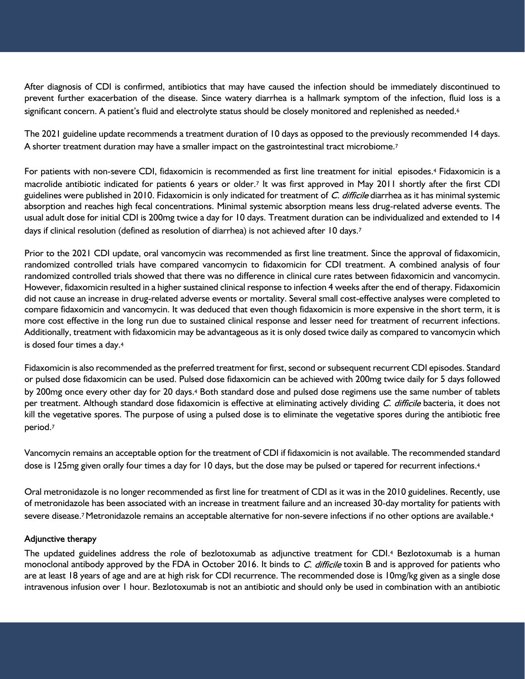After diagnosis of CDI is confirmed, antibiotics that may have caused the infection should be immediately discontinued to prevent further exacerbation of the disease. Since watery diarrhea is a hallmark symptom of the infection, fluid loss is a significant concern. A patient's fluid and electrolyte status should be closely monitored and replenished as needed.<sup>6</sup>

The 2021 guideline update recommends a treatment duration of 10 days as opposed to the previously recommended 14 days. A shorter treatment duration may have a smaller impact on the gastrointestinal tract microbiome.<sup>7</sup>

For patients with non-severe CDI, fidaxomicin is recommended as first line treatment for initial episodes.4 Fidaxomicin is a macrolide antibiotic indicated for patients 6 years or older.7 It was first approved in May 2011 shortly after the first CDI guidelines were published in 2010. Fidaxomicin is only indicated for treatment of C. difficile diarrhea as it has minimal systemic absorption and reaches high fecal concentrations. Minimal systemic absorption means less drug-related adverse events. The usual adult dose for initial CDI is 200mg twice a day for 10 days. Treatment duration can be individualized and extended to 14 days if clinical resolution (defined as resolution of diarrhea) is not achieved after 10 days.7

Prior to the 2021 CDI update, oral vancomycin was recommended as first line treatment. Since the approval of fidaxomicin, randomized controlled trials have compared vancomycin to fidaxomicin for CDI treatment. A combined analysis of four randomized controlled trials showed that there was no difference in clinical cure rates between fidaxomicin and vancomycin. However, fidaxomicin resulted in a higher sustained clinical response to infection 4 weeks after the end of therapy. Fidaxomicin did not cause an increase in drug-related adverse events or mortality. Several small cost-effective analyses were completed to compare fidaxomicin and vancomycin. It was deduced that even though fidaxomicin is more expensive in the short term, it is more cost effective in the long run due to sustained clinical response and lesser need for treatment of recurrent infections. Additionally, treatment with fidaxomicin may be advantageous as it is only dosed twice daily as compared to vancomycin which is dosed four times a day.<sup>4</sup>

Fidaxomicin is also recommended as the preferred treatment for first, second or subsequent recurrent CDI episodes. Standard or pulsed dose fidaxomicin can be used. Pulsed dose fidaxomicin can be achieved with 200mg twice daily for 5 days followed by 200mg once every other day for 20 days.4 Both standard dose and pulsed dose regimens use the same number of tablets per treatment. Although standard dose fidaxomicin is effective at eliminating actively dividing C. difficile bacteria, it does not kill the vegetative spores. The purpose of using a pulsed dose is to eliminate the vegetative spores during the antibiotic free period.<sup>7</sup>

Vancomycin remains an acceptable option for the treatment of CDI if fidaxomicin is not available. The recommended standard dose is 125mg given orally four times a day for 10 days, but the dose may be pulsed or tapered for recurrent infections.<sup>4</sup>

Oral metronidazole is no longer recommended as first line for treatment of CDI as it was in the 2010 guidelines. Recently, use of metronidazole has been associated with an increase in treatment failure and an increased 30-day mortality for patients with severe disease.<sup>7</sup> Metronidazole remains an acceptable alternative for non-severe infections if no other options are available.<sup>4</sup>

#### Adjunctive therapy

The updated guidelines address the role of bezlotoxumab as adjunctive treatment for CDI.4 Bezlotoxumab is a human monoclonal antibody approved by the FDA in October 2016. It binds to C. difficile toxin B and is approved for patients who are at least 18 years of age and are at high risk for CDI recurrence. The recommended dose is 10mg/kg given as a single dose intravenous infusion over 1 hour. Bezlotoxumab is not an antibiotic and should only be used in combination with an antibiotic